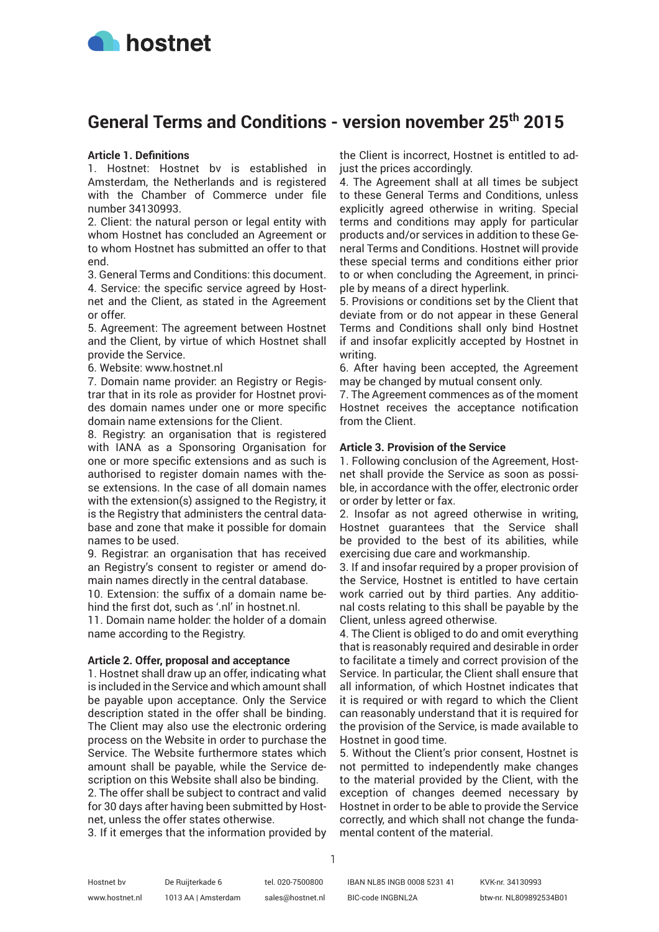

# **General Terms and Conditions - version november 25th 2015**

# **Article 1. Definitions**

1. Hostnet: Hostnet bv is established in Amsterdam, the Netherlands and is registered with the Chamber of Commerce under file number 34130993.

2. Client: the natural person or legal entity with whom Hostnet has concluded an Agreement or to whom Hostnet has submitted an offer to that end.

3. General Terms and Conditions: this document. 4. Service: the specific service agreed by Hostnet and the Client, as stated in the Agreement or offer.

5. Agreement: The agreement between Hostnet and the Client, by virtue of which Hostnet shall provide the Service.

6. Website: www.hostnet.nl

7. Domain name provider: an Registry or Registrar that in its role as provider for Hostnet provides domain names under one or more specific domain name extensions for the Client.

8. Registry: an organisation that is registered with IANA as a Sponsoring Organisation for one or more specific extensions and as such is authorised to register domain names with these extensions. In the case of all domain names with the extension(s) assigned to the Registry, it is the Registry that administers the central database and zone that make it possible for domain names to be used.

9. Registrar: an organisation that has received an Registry's consent to register or amend domain names directly in the central database.

10. Extension: the suffix of a domain name behind the first dot, such as '.nl' in hostnet.nl.

11. Domain name holder: the holder of a domain name according to the Registry.

#### **Article 2. Offer, proposal and acceptance**

1. Hostnet shall draw up an offer, indicating what is included in the Service and which amount shall be payable upon acceptance. Only the Service description stated in the offer shall be binding. The Client may also use the electronic ordering process on the Website in order to purchase the Service. The Website furthermore states which amount shall be payable, while the Service description on this Website shall also be binding.

2. The offer shall be subject to contract and valid for 30 days after having been submitted by Hostnet, unless the offer states otherwise.

3. If it emerges that the information provided by

the Client is incorrect, Hostnet is entitled to adjust the prices accordingly.

4. The Agreement shall at all times be subject to these General Terms and Conditions, unless explicitly agreed otherwise in writing. Special terms and conditions may apply for particular products and/or services in addition to these General Terms and Conditions. Hostnet will provide these special terms and conditions either prior to or when concluding the Agreement, in principle by means of a direct hyperlink.

5. Provisions or conditions set by the Client that deviate from or do not appear in these General Terms and Conditions shall only bind Hostnet if and insofar explicitly accepted by Hostnet in writing.

6. After having been accepted, the Agreement may be changed by mutual consent only.

7. The Agreement commences as of the moment Hostnet receives the acceptance notification from the Client.

# **Article 3. Provision of the Service**

1. Following conclusion of the Agreement, Hostnet shall provide the Service as soon as possible, in accordance with the offer, electronic order or order by letter or fax.

2. Insofar as not agreed otherwise in writing, Hostnet guarantees that the Service shall be provided to the best of its abilities, while exercising due care and workmanship.

3. If and insofar required by a proper provision of the Service, Hostnet is entitled to have certain work carried out by third parties. Any additional costs relating to this shall be payable by the Client, unless agreed otherwise.

4. The Client is obliged to do and omit everything that is reasonably required and desirable in order to facilitate a timely and correct provision of the Service. In particular, the Client shall ensure that all information, of which Hostnet indicates that it is required or with regard to which the Client can reasonably understand that it is required for the provision of the Service, is made available to Hostnet in good time.

5. Without the Client's prior consent, Hostnet is not permitted to independently make changes to the material provided by the Client, with the exception of changes deemed necessary by Hostnet in order to be able to provide the Service correctly, and which shall not change the fundamental content of the material.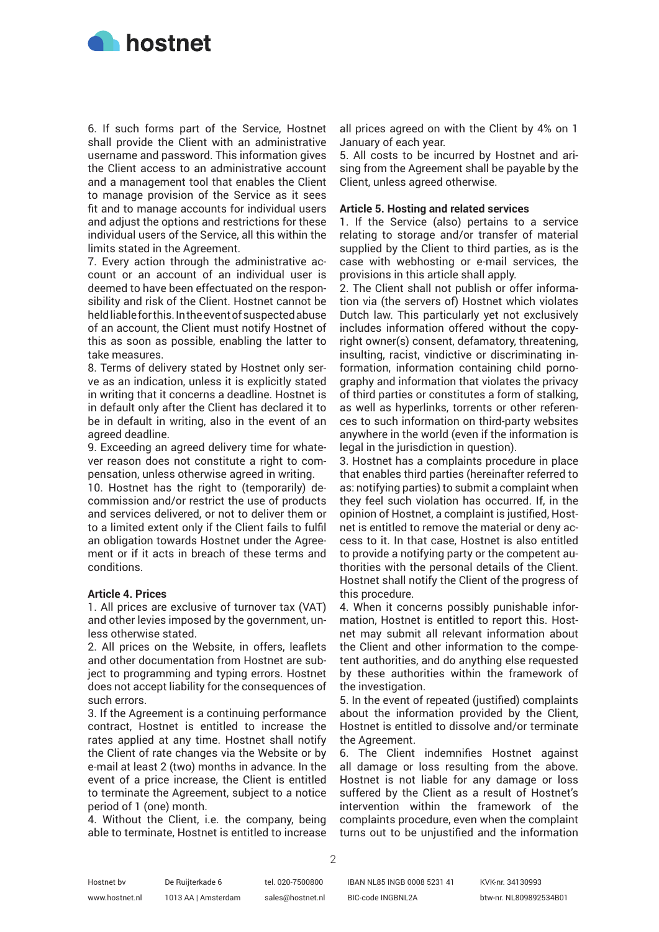

6. If such forms part of the Service, Hostnet shall provide the Client with an administrative username and password. This information gives the Client access to an administrative account and a management tool that enables the Client to manage provision of the Service as it sees fit and to manage accounts for individual users and adjust the options and restrictions for these individual users of the Service, all this within the limits stated in the Agreement.

7. Every action through the administrative account or an account of an individual user is deemed to have been effectuated on the responsibility and risk of the Client. Hostnet cannot be held liable for this. In the event of suspected abuse of an account, the Client must notify Hostnet of this as soon as possible, enabling the latter to take measures.

8. Terms of delivery stated by Hostnet only serve as an indication, unless it is explicitly stated in writing that it concerns a deadline. Hostnet is in default only after the Client has declared it to be in default in writing, also in the event of an agreed deadline.

9. Exceeding an agreed delivery time for whatever reason does not constitute a right to compensation, unless otherwise agreed in writing.

10. Hostnet has the right to (temporarily) decommission and/or restrict the use of products and services delivered, or not to deliver them or to a limited extent only if the Client fails to fulfil an obligation towards Hostnet under the Agreement or if it acts in breach of these terms and conditions.

#### **Article 4. Prices**

1. All prices are exclusive of turnover tax (VAT) and other levies imposed by the government, unless otherwise stated.

2. All prices on the Website, in offers, leaflets and other documentation from Hostnet are subject to programming and typing errors. Hostnet does not accept liability for the consequences of such errors.

3. If the Agreement is a continuing performance contract, Hostnet is entitled to increase the rates applied at any time. Hostnet shall notify the Client of rate changes via the Website or by e-mail at least 2 (two) months in advance. In the event of a price increase, the Client is entitled to terminate the Agreement, subject to a notice period of 1 (one) month.

4. Without the Client, i.e. the company, being able to terminate, Hostnet is entitled to increase

all prices agreed on with the Client by 4% on 1 January of each year.

5. All costs to be incurred by Hostnet and arising from the Agreement shall be payable by the Client, unless agreed otherwise.

# **Article 5. Hosting and related services**

1. If the Service (also) pertains to a service relating to storage and/or transfer of material supplied by the Client to third parties, as is the case with webhosting or e-mail services, the provisions in this article shall apply.

2. The Client shall not publish or offer information via (the servers of) Hostnet which violates Dutch law. This particularly yet not exclusively includes information offered without the copyright owner(s) consent, defamatory, threatening, insulting, racist, vindictive or discriminating information, information containing child pornography and information that violates the privacy of third parties or constitutes a form of stalking, as well as hyperlinks, torrents or other references to such information on third-party websites anywhere in the world (even if the information is legal in the jurisdiction in question).

3. Hostnet has a complaints procedure in place that enables third parties (hereinafter referred to as: notifying parties) to submit a complaint when they feel such violation has occurred. If, in the opinion of Hostnet, a complaint is justified, Hostnet is entitled to remove the material or deny access to it. In that case, Hostnet is also entitled to provide a notifying party or the competent authorities with the personal details of the Client. Hostnet shall notify the Client of the progress of this procedure.

4. When it concerns possibly punishable information, Hostnet is entitled to report this. Hostnet may submit all relevant information about the Client and other information to the competent authorities, and do anything else requested by these authorities within the framework of the investigation.

5. In the event of repeated (justified) complaints about the information provided by the Client, Hostnet is entitled to dissolve and/or terminate the Agreement.

6. The Client indemnifies Hostnet against all damage or loss resulting from the above. Hostnet is not liable for any damage or loss suffered by the Client as a result of Hostnet's intervention within the framework of the complaints procedure, even when the complaint turns out to be unjustified and the information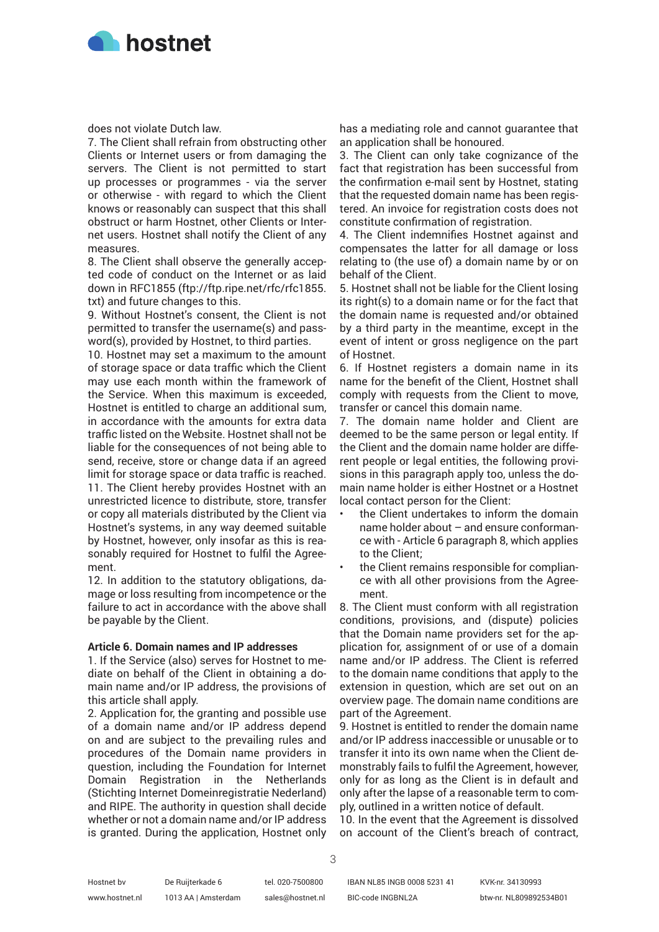

does not violate Dutch law.

7. The Client shall refrain from obstructing other Clients or Internet users or from damaging the servers. The Client is not permitted to start up processes or programmes - via the server or otherwise - with regard to which the Client knows or reasonably can suspect that this shall obstruct or harm Hostnet, other Clients or Internet users. Hostnet shall notify the Client of any measures.

8. The Client shall observe the generally accepted code of conduct on the Internet or as laid down in RFC1855 (ftp://ftp.ripe.net/rfc/rfc1855. txt) and future changes to this.

9. Without Hostnet's consent, the Client is not permitted to transfer the username(s) and password(s), provided by Hostnet, to third parties.

10. Hostnet may set a maximum to the amount of storage space or data traffic which the Client may use each month within the framework of the Service. When this maximum is exceeded, Hostnet is entitled to charge an additional sum, in accordance with the amounts for extra data traffic listed on the Website. Hostnet shall not be liable for the consequences of not being able to send, receive, store or change data if an agreed limit for storage space or data traffic is reached. 11. The Client hereby provides Hostnet with an unrestricted licence to distribute, store, transfer or copy all materials distributed by the Client via Hostnet's systems, in any way deemed suitable by Hostnet, however, only insofar as this is reasonably required for Hostnet to fulfil the Agreement.

12. In addition to the statutory obligations, damage or loss resulting from incompetence or the failure to act in accordance with the above shall be payable by the Client.

# **Article 6. Domain names and IP addresses**

1. If the Service (also) serves for Hostnet to mediate on behalf of the Client in obtaining a domain name and/or IP address, the provisions of this article shall apply.

2. Application for, the granting and possible use of a domain name and/or IP address depend on and are subject to the prevailing rules and procedures of the Domain name providers in question, including the Foundation for Internet Domain Registration in the Netherlands (Stichting Internet Domeinregistratie Nederland) and RIPE. The authority in question shall decide whether or not a domain name and/or IP address is granted. During the application, Hostnet only

has a mediating role and cannot guarantee that an application shall be honoured.

3. The Client can only take cognizance of the fact that registration has been successful from the confirmation e-mail sent by Hostnet, stating that the requested domain name has been registered. An invoice for registration costs does not constitute confirmation of registration.

4. The Client indemnifies Hostnet against and compensates the latter for all damage or loss relating to (the use of) a domain name by or on behalf of the Client.

5. Hostnet shall not be liable for the Client losing its right(s) to a domain name or for the fact that the domain name is requested and/or obtained by a third party in the meantime, except in the event of intent or gross negligence on the part of Hostnet.

6. If Hostnet registers a domain name in its name for the benefit of the Client, Hostnet shall comply with requests from the Client to move, transfer or cancel this domain name.

7. The domain name holder and Client are deemed to be the same person or legal entity. If the Client and the domain name holder are different people or legal entities, the following provisions in this paragraph apply too, unless the domain name holder is either Hostnet or a Hostnet local contact person for the Client:

- the Client undertakes to inform the domain name holder about – and ensure conformance with - Article 6 paragraph 8, which applies to the Client;
- the Client remains responsible for compliance with all other provisions from the Agreement.

8. The Client must conform with all registration conditions, provisions, and (dispute) policies that the Domain name providers set for the application for, assignment of or use of a domain name and/or IP address. The Client is referred to the domain name conditions that apply to the extension in question, which are set out on an overview page. The domain name conditions are part of the Agreement.

9. Hostnet is entitled to render the domain name and/or IP address inaccessible or unusable or to transfer it into its own name when the Client demonstrably fails to fulfil the Agreement, however, only for as long as the Client is in default and only after the lapse of a reasonable term to comply, outlined in a written notice of default.

10. In the event that the Agreement is dissolved on account of the Client's breach of contract,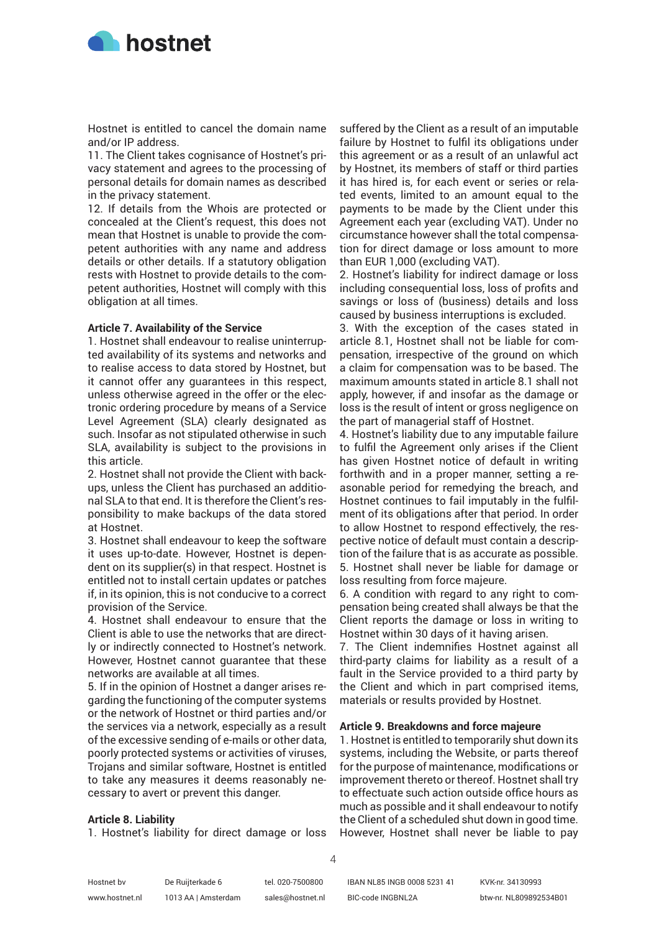

Hostnet is entitled to cancel the domain name and/or IP address.

11. The Client takes cognisance of Hostnet's privacy statement and agrees to the processing of personal details for domain names as described in the privacy statement.

12. If details from the Whois are protected or concealed at the Client's request, this does not mean that Hostnet is unable to provide the competent authorities with any name and address details or other details. If a statutory obligation rests with Hostnet to provide details to the competent authorities, Hostnet will comply with this obligation at all times.

# **Article 7. Availability of the Service**

1. Hostnet shall endeavour to realise uninterrupted availability of its systems and networks and to realise access to data stored by Hostnet, but it cannot offer any guarantees in this respect, unless otherwise agreed in the offer or the electronic ordering procedure by means of a Service Level Agreement (SLA) clearly designated as such. Insofar as not stipulated otherwise in such SLA, availability is subject to the provisions in this article.

2. Hostnet shall not provide the Client with backups, unless the Client has purchased an additional SLA to that end. It is therefore the Client's responsibility to make backups of the data stored at Hostnet.

3. Hostnet shall endeavour to keep the software it uses up-to-date. However, Hostnet is dependent on its supplier(s) in that respect. Hostnet is entitled not to install certain updates or patches if, in its opinion, this is not conducive to a correct provision of the Service.

4. Hostnet shall endeavour to ensure that the Client is able to use the networks that are directly or indirectly connected to Hostnet's network. However, Hostnet cannot guarantee that these networks are available at all times.

5. If in the opinion of Hostnet a danger arises regarding the functioning of the computer systems or the network of Hostnet or third parties and/or the services via a network, especially as a result of the excessive sending of e-mails or other data, poorly protected systems or activities of viruses, Trojans and similar software, Hostnet is entitled to take any measures it deems reasonably necessary to avert or prevent this danger.

#### **Article 8. Liability**

1. Hostnet's liability for direct damage or loss

suffered by the Client as a result of an imputable failure by Hostnet to fulfil its obligations under this agreement or as a result of an unlawful act by Hostnet, its members of staff or third parties it has hired is, for each event or series or related events, limited to an amount equal to the payments to be made by the Client under this Agreement each year (excluding VAT). Under no circumstance however shall the total compensation for direct damage or loss amount to more than EUR 1,000 (excluding VAT).

2. Hostnet's liability for indirect damage or loss including consequential loss, loss of profits and savings or loss of (business) details and loss caused by business interruptions is excluded.

3. With the exception of the cases stated in article 8.1, Hostnet shall not be liable for compensation, irrespective of the ground on which a claim for compensation was to be based. The maximum amounts stated in article 8.1 shall not apply, however, if and insofar as the damage or loss is the result of intent or gross negligence on the part of managerial staff of Hostnet.

4. Hostnet's liability due to any imputable failure to fulfil the Agreement only arises if the Client has given Hostnet notice of default in writing forthwith and in a proper manner, setting a reasonable period for remedying the breach, and Hostnet continues to fail imputably in the fulfilment of its obligations after that period. In order to allow Hostnet to respond effectively, the respective notice of default must contain a description of the failure that is as accurate as possible. 5. Hostnet shall never be liable for damage or loss resulting from force majeure.

6. A condition with regard to any right to compensation being created shall always be that the Client reports the damage or loss in writing to Hostnet within 30 days of it having arisen.

7. The Client indemnifies Hostnet against all third-party claims for liability as a result of a fault in the Service provided to a third party by the Client and which in part comprised items, materials or results provided by Hostnet.

#### **Article 9. Breakdowns and force majeure**

1. Hostnet is entitled to temporarily shut down its systems, including the Website, or parts thereof for the purpose of maintenance, modifications or improvement thereto or thereof. Hostnet shall try to effectuate such action outside office hours as much as possible and it shall endeavour to notify the Client of a scheduled shut down in good time. However, Hostnet shall never be liable to pay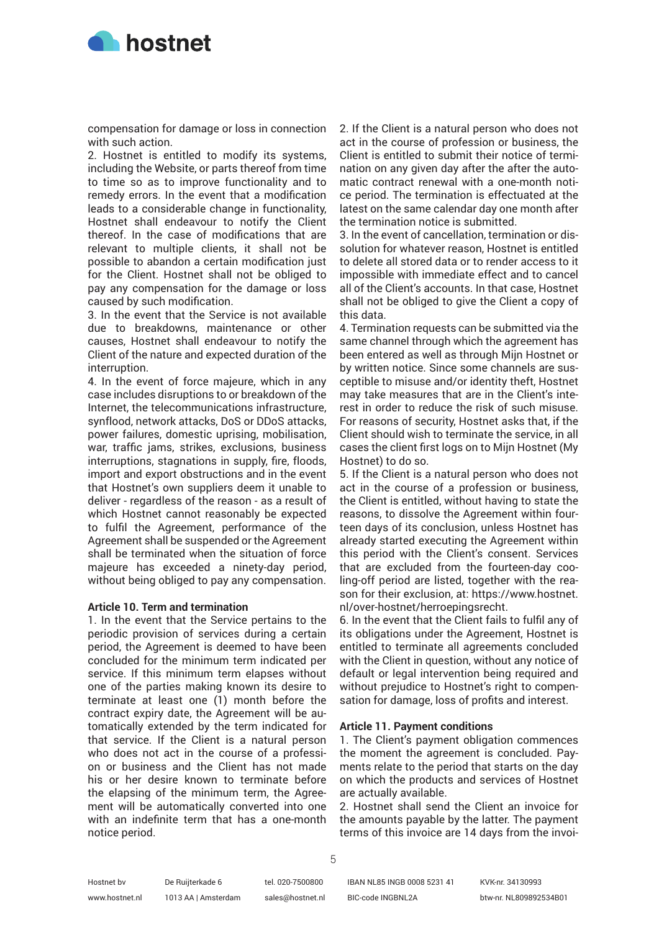

compensation for damage or loss in connection with such action.

2. Hostnet is entitled to modify its systems, including the Website, or parts thereof from time to time so as to improve functionality and to remedy errors. In the event that a modification leads to a considerable change in functionality, Hostnet shall endeavour to notify the Client thereof. In the case of modifications that are relevant to multiple clients, it shall not be possible to abandon a certain modification just for the Client. Hostnet shall not be obliged to pay any compensation for the damage or loss caused by such modification.

3. In the event that the Service is not available due to breakdowns, maintenance or other causes, Hostnet shall endeavour to notify the Client of the nature and expected duration of the interruption.

4. In the event of force majeure, which in any case includes disruptions to or breakdown of the Internet, the telecommunications infrastructure, synflood, network attacks, DoS or DDoS attacks, power failures, domestic uprising, mobilisation, war, traffic jams, strikes, exclusions, business interruptions, stagnations in supply, fire, floods, import and export obstructions and in the event that Hostnet's own suppliers deem it unable to deliver - regardless of the reason - as a result of which Hostnet cannot reasonably be expected to fulfil the Agreement, performance of the Agreement shall be suspended or the Agreement shall be terminated when the situation of force majeure has exceeded a ninety-day period, without being obliged to pay any compensation.

### **Article 10. Term and termination**

1. In the event that the Service pertains to the periodic provision of services during a certain period, the Agreement is deemed to have been concluded for the minimum term indicated per service. If this minimum term elapses without one of the parties making known its desire to terminate at least one (1) month before the contract expiry date, the Agreement will be automatically extended by the term indicated for that service. If the Client is a natural person who does not act in the course of a profession or business and the Client has not made his or her desire known to terminate before the elapsing of the minimum term, the Agreement will be automatically converted into one with an indefinite term that has a one-month notice period.

2. If the Client is a natural person who does not act in the course of profession or business, the Client is entitled to submit their notice of termination on any given day after the after the automatic contract renewal with a one-month notice period. The termination is effectuated at the latest on the same calendar day one month after the termination notice is submitted.

3. In the event of cancellation, termination or dissolution for whatever reason, Hostnet is entitled to delete all stored data or to render access to it impossible with immediate effect and to cancel all of the Client's accounts. In that case, Hostnet shall not be obliged to give the Client a copy of this data.

4. Termination requests can be submitted via the same channel through which the agreement has been entered as well as through Mijn Hostnet or by written notice. Since some channels are susceptible to misuse and/or identity theft, Hostnet may take measures that are in the Client's interest in order to reduce the risk of such misuse. For reasons of security, Hostnet asks that, if the Client should wish to terminate the service, in all cases the client first logs on to Mijn Hostnet (My Hostnet) to do so.

5. If the Client is a natural person who does not act in the course of a profession or business, the Client is entitled, without having to state the reasons, to dissolve the Agreement within fourteen days of its conclusion, unless Hostnet has already started executing the Agreement within this period with the Client's consent. Services that are excluded from the fourteen-day cooling-off period are listed, together with the reason for their exclusion, at: https://www.hostnet. nl/over-hostnet/herroepingsrecht.

6. In the event that the Client fails to fulfil any of its obligations under the Agreement, Hostnet is entitled to terminate all agreements concluded with the Client in question, without any notice of default or legal intervention being required and without prejudice to Hostnet's right to compensation for damage, loss of profits and interest.

#### **Article 11. Payment conditions**

1. The Client's payment obligation commences the moment the agreement is concluded. Payments relate to the period that starts on the day on which the products and services of Hostnet are actually available.

2. Hostnet shall send the Client an invoice for the amounts payable by the latter. The payment terms of this invoice are 14 days from the invoi-

5

Hostnet bv www.hostnet.nl De Ruijterkade 6 1013 AA | Amsterdam

IBAN NL85 INGB 0008 5231 41 BIC-code INGBNL2A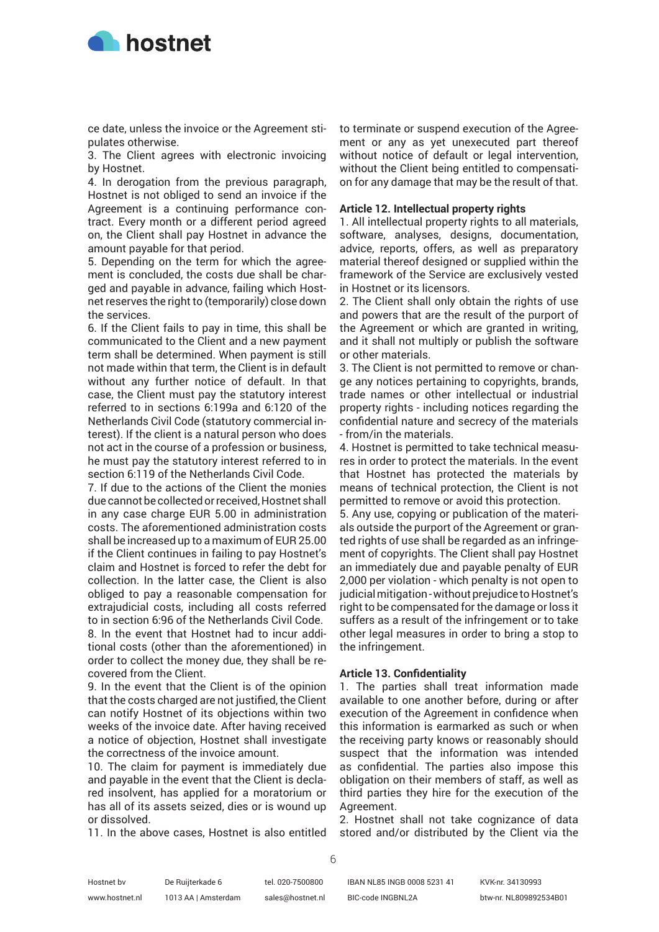

ce date, unless the invoice or the Agreement stipulates otherwise.

3. The Client agrees with electronic invoicing by Hostnet.

4. In derogation from the previous paragraph, Hostnet is not obliged to send an invoice if the Agreement is a continuing performance contract. Every month or a different period agreed on, the Client shall pay Hostnet in advance the amount payable for that period.

5. Depending on the term for which the agreement is concluded, the costs due shall be charged and payable in advance, failing which Hostnet reserves the right to (temporarily) close down the services.

6. If the Client fails to pay in time, this shall be communicated to the Client and a new payment term shall be determined. When payment is still not made within that term, the Client is in default without any further notice of default. In that case, the Client must pay the statutory interest referred to in sections 6:199a and 6:120 of the Netherlands Civil Code (statutory commercial interest). If the client is a natural person who does not act in the course of a profession or business, he must pay the statutory interest referred to in section 6:119 of the Netherlands Civil Code.

7. If due to the actions of the Client the monies due cannot be collected or received, Hostnet shall in any case charge EUR 5.00 in administration costs. The aforementioned administration costs shall be increased up to a maximum of EUR 25.00 if the Client continues in failing to pay Hostnet's claim and Hostnet is forced to refer the debt for collection. In the latter case, the Client is also obliged to pay a reasonable compensation for extrajudicial costs, including all costs referred to in section 6:96 of the Netherlands Civil Code. 8. In the event that Hostnet had to incur additional costs (other than the aforementioned) in order to collect the money due, they shall be recovered from the Client.

9. In the event that the Client is of the opinion that the costs charged are not justified, the Client can notify Hostnet of its objections within two weeks of the invoice date. After having received a notice of objection, Hostnet shall investigate the correctness of the invoice amount.

10. The claim for payment is immediately due and payable in the event that the Client is declared insolvent, has applied for a moratorium or has all of its assets seized, dies or is wound up or dissolved.

11. In the above cases, Hostnet is also entitled

to terminate or suspend execution of the Agreement or any as yet unexecuted part thereof without notice of default or legal intervention, without the Client being entitled to compensation for any damage that may be the result of that.

# **Article 12. Intellectual property rights**

1. All intellectual property rights to all materials, software, analyses, designs, documentation, advice, reports, offers, as well as preparatory material thereof designed or supplied within the framework of the Service are exclusively vested in Hostnet or its licensors.

2. The Client shall only obtain the rights of use and powers that are the result of the purport of the Agreement or which are granted in writing, and it shall not multiply or publish the software or other materials.

3. The Client is not permitted to remove or change any notices pertaining to copyrights, brands, trade names or other intellectual or industrial property rights - including notices regarding the confidential nature and secrecy of the materials - from/in the materials.

4. Hostnet is permitted to take technical measures in order to protect the materials. In the event that Hostnet has protected the materials by means of technical protection, the Client is not permitted to remove or avoid this protection.

5. Any use, copying or publication of the materials outside the purport of the Agreement or granted rights of use shall be regarded as an infringement of copyrights. The Client shall pay Hostnet an immediately due and payable penalty of EUR 2,000 per violation - which penalty is not open to judicial mitigation - without prejudice to Hostnet's right to be compensated for the damage or loss it suffers as a result of the infringement or to take other legal measures in order to bring a stop to the infringement.

#### **Article 13. Confidentiality**

1. The parties shall treat information made available to one another before, during or after execution of the Agreement in confidence when this information is earmarked as such or when the receiving party knows or reasonably should suspect that the information was intended as confidential. The parties also impose this obligation on their members of staff, as well as third parties they hire for the execution of the Agreement.

2. Hostnet shall not take cognizance of data stored and/or distributed by the Client via the